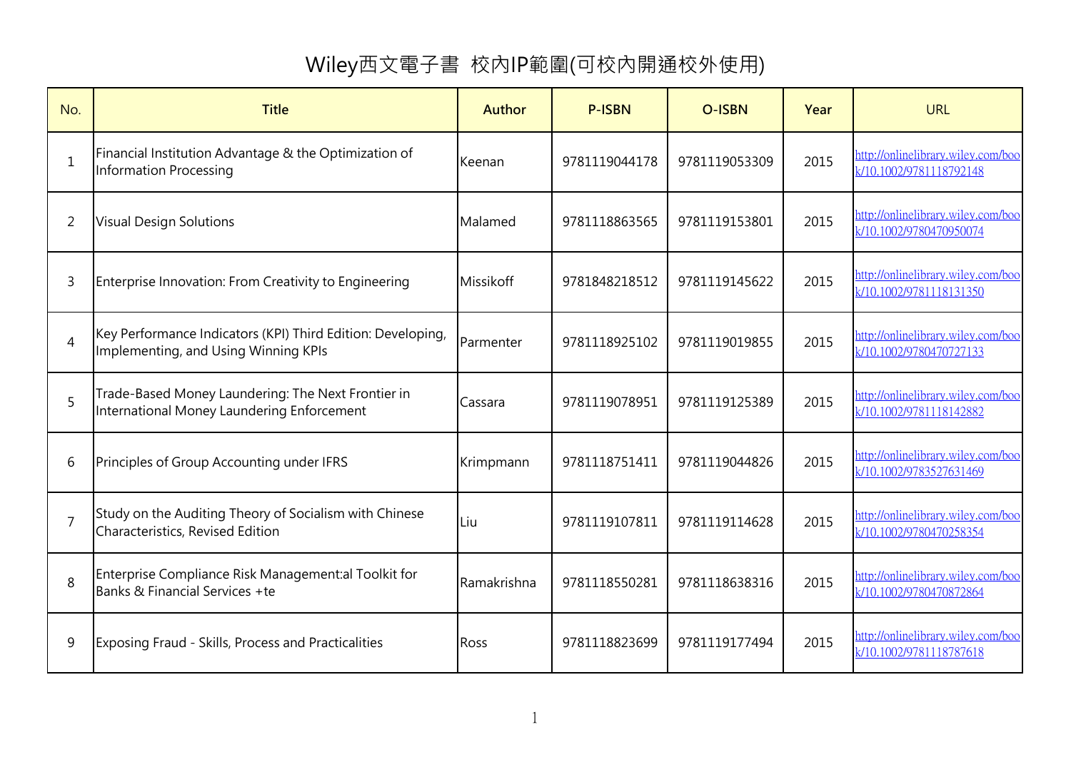## Wiley西文電子書 校內IP範圍(可校內開通校外使用)

| No.            | <b>Title</b>                                                                                        | <b>Author</b> | <b>P-ISBN</b> | <b>O-ISBN</b> | Year | <b>URL</b>                                                    |
|----------------|-----------------------------------------------------------------------------------------------------|---------------|---------------|---------------|------|---------------------------------------------------------------|
| $\mathbf{1}$   | Financial Institution Advantage & the Optimization of<br><b>Information Processing</b>              | Keenan        | 9781119044178 | 9781119053309 | 2015 | http://onlinelibrary.wiley.com/boo<br>k/10.1002/9781118792148 |
| 2              | <b>Visual Design Solutions</b>                                                                      | Malamed       | 9781118863565 | 9781119153801 | 2015 | http://onlinelibrary.wiley.com/boo<br>k/10.1002/9780470950074 |
| 3              | Enterprise Innovation: From Creativity to Engineering                                               | Missikoff     | 9781848218512 | 9781119145622 | 2015 | http://onlinelibrary.wiley.com/boo<br>k/10.1002/9781118131350 |
| $\overline{4}$ | Key Performance Indicators (KPI) Third Edition: Developing,<br>Implementing, and Using Winning KPIs | Parmenter     | 9781118925102 | 9781119019855 | 2015 | http://onlinelibrary.wiley.com/boo<br>k/10.1002/9780470727133 |
| 5              | Trade-Based Money Laundering: The Next Frontier in<br>International Money Laundering Enforcement    | Cassara       | 9781119078951 | 9781119125389 | 2015 | http://onlinelibrary.wiley.com/boo<br>k/10.1002/9781118142882 |
| 6              | Principles of Group Accounting under IFRS                                                           | Krimpmann     | 9781118751411 | 9781119044826 | 2015 | http://onlinelibrary.wiley.com/boo<br>k/10.1002/9783527631469 |
| 7              | Study on the Auditing Theory of Socialism with Chinese<br>Characteristics, Revised Edition          | Liu           | 9781119107811 | 9781119114628 | 2015 | http://onlinelibrary.wiley.com/boo<br>k/10.1002/9780470258354 |
| 8              | Enterprise Compliance Risk Management:al Toolkit for<br>Banks & Financial Services +te              | Ramakrishna   | 9781118550281 | 9781118638316 | 2015 | http://onlinelibrary.wiley.com/boo<br>k/10.1002/9780470872864 |
| 9              | Exposing Fraud - Skills, Process and Practicalities                                                 | <b>Ross</b>   | 9781118823699 | 9781119177494 | 2015 | http://onlinelibrary.wiley.com/boo<br>k/10.1002/9781118787618 |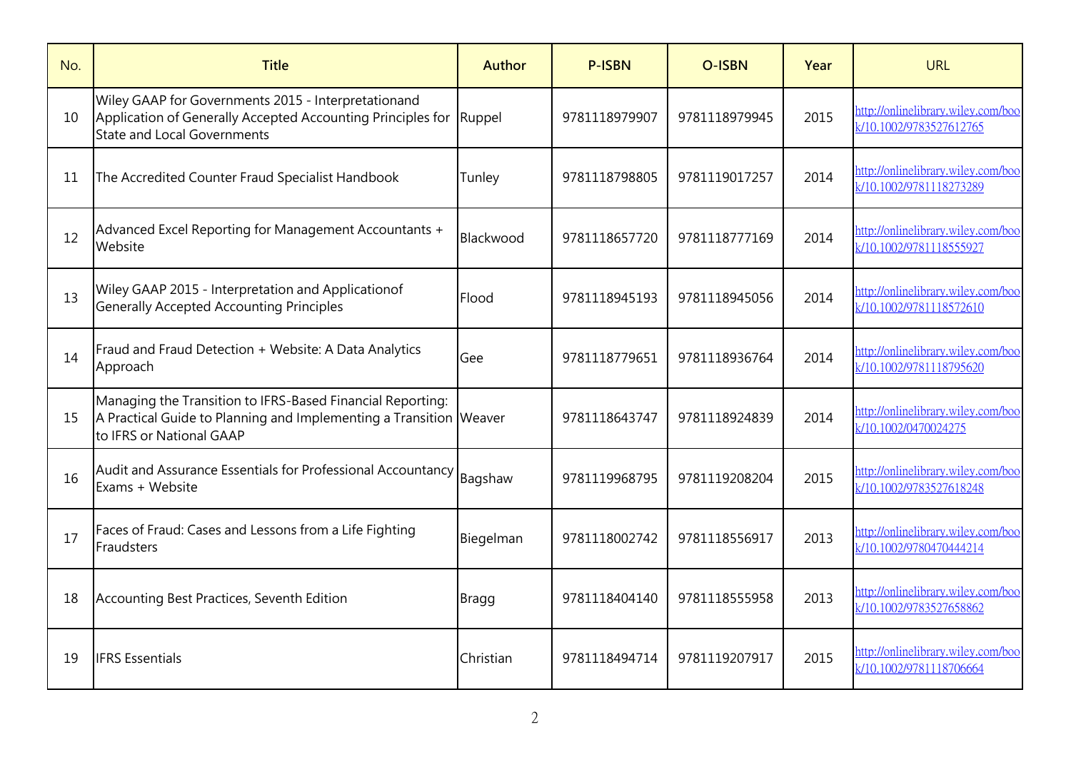| No. | <b>Title</b>                                                                                                                                                 | Author       | <b>P-ISBN</b> | <b>O-ISBN</b> | Year | <b>URL</b>                                                    |
|-----|--------------------------------------------------------------------------------------------------------------------------------------------------------------|--------------|---------------|---------------|------|---------------------------------------------------------------|
| 10  | Wiley GAAP for Governments 2015 - Interpretationand<br>Application of Generally Accepted Accounting Principles for<br><b>State and Local Governments</b>     | Ruppel       | 9781118979907 | 9781118979945 | 2015 | http://onlinelibrary.wiley.com/boo<br>k/10.1002/9783527612765 |
| 11  | The Accredited Counter Fraud Specialist Handbook                                                                                                             | Tunley       | 9781118798805 | 9781119017257 | 2014 | http://onlinelibrary.wiley.com/boo<br>k/10.1002/9781118273289 |
| 12  | Advanced Excel Reporting for Management Accountants +<br>Website                                                                                             | Blackwood    | 9781118657720 | 9781118777169 | 2014 | http://onlinelibrary.wiley.com/boo<br>k/10.1002/9781118555927 |
| 13  | Wiley GAAP 2015 - Interpretation and Applicationof<br><b>Generally Accepted Accounting Principles</b>                                                        | Flood        | 9781118945193 | 9781118945056 | 2014 | http://onlinelibrary.wiley.com/boo<br>k/10.1002/9781118572610 |
| 14  | Fraud and Fraud Detection + Website: A Data Analytics<br>Approach                                                                                            | Gee          | 9781118779651 | 9781118936764 | 2014 | http://onlinelibrary.wiley.com/boo<br>k/10.1002/9781118795620 |
| 15  | Managing the Transition to IFRS-Based Financial Reporting:<br>A Practical Guide to Planning and Implementing a Transition Weaver<br>to IFRS or National GAAP |              | 9781118643747 | 9781118924839 | 2014 | http://onlinelibrary.wiley.com/boo<br>k/10.1002/0470024275    |
| 16  | Audit and Assurance Essentials for Professional Accountancy<br>Exams + Website                                                                               | Bagshaw      | 9781119968795 | 9781119208204 | 2015 | http://onlinelibrary.wiley.com/boo<br>k/10.1002/9783527618248 |
| 17  | Faces of Fraud: Cases and Lessons from a Life Fighting<br>Fraudsters                                                                                         | Biegelman    | 9781118002742 | 9781118556917 | 2013 | http://onlinelibrary.wiley.com/boo<br>k/10.1002/9780470444214 |
| 18  | Accounting Best Practices, Seventh Edition                                                                                                                   | <b>Bragg</b> | 9781118404140 | 9781118555958 | 2013 | http://onlinelibrary.wiley.com/boo<br>k/10.1002/9783527658862 |
| 19  | <b>IFRS</b> Essentials                                                                                                                                       | Christian    | 9781118494714 | 9781119207917 | 2015 | http://onlinelibrary.wiley.com/boo<br>k/10.1002/9781118706664 |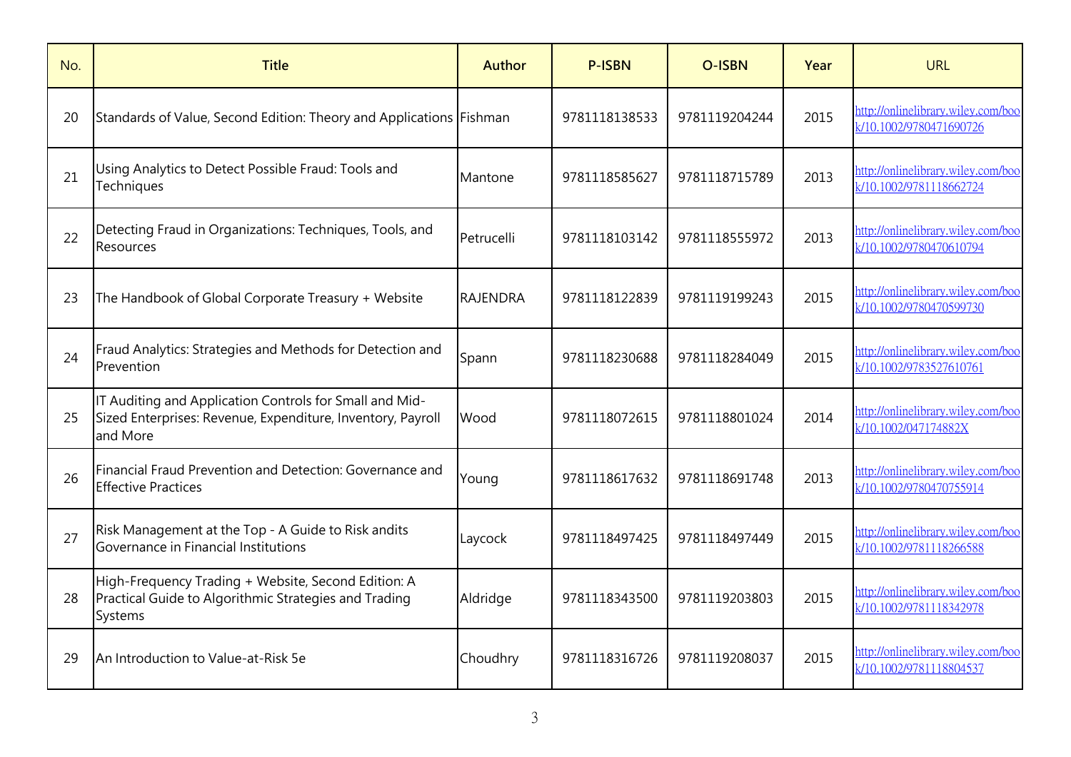| No. | <b>Title</b>                                                                                                                       | <b>Author</b>   | <b>P-ISBN</b> | <b>O-ISBN</b> | Year | <b>URL</b>                                                    |
|-----|------------------------------------------------------------------------------------------------------------------------------------|-----------------|---------------|---------------|------|---------------------------------------------------------------|
| 20  | Standards of Value, Second Edition: Theory and Applications Fishman                                                                |                 | 9781118138533 | 9781119204244 | 2015 | http://onlinelibrary.wiley.com/boo<br>k/10.1002/9780471690726 |
| 21  | Using Analytics to Detect Possible Fraud: Tools and<br>Techniques                                                                  | Mantone         | 9781118585627 | 9781118715789 | 2013 | http://onlinelibrary.wiley.com/boo<br>k/10.1002/9781118662724 |
| 22  | Detecting Fraud in Organizations: Techniques, Tools, and<br>Resources                                                              | Petrucelli      | 9781118103142 | 9781118555972 | 2013 | http://onlinelibrary.wiley.com/boo<br>k/10.1002/9780470610794 |
| 23  | The Handbook of Global Corporate Treasury + Website                                                                                | <b>RAJENDRA</b> | 9781118122839 | 9781119199243 | 2015 | http://onlinelibrary.wiley.com/boo<br>k/10.1002/9780470599730 |
| 24  | Fraud Analytics: Strategies and Methods for Detection and<br>Prevention                                                            | Spann           | 9781118230688 | 9781118284049 | 2015 | http://onlinelibrary.wiley.com/boo<br>k/10.1002/9783527610761 |
| 25  | IT Auditing and Application Controls for Small and Mid-<br>Sized Enterprises: Revenue, Expenditure, Inventory, Payroll<br>and More | Wood            | 9781118072615 | 9781118801024 | 2014 | http://onlinelibrary.wiley.com/boo<br>k/10.1002/047174882X    |
| 26  | Financial Fraud Prevention and Detection: Governance and<br><b>Effective Practices</b>                                             | Young           | 9781118617632 | 9781118691748 | 2013 | http://onlinelibrary.wiley.com/boo<br>k/10.1002/9780470755914 |
| 27  | Risk Management at the Top - A Guide to Risk andits<br>Governance in Financial Institutions                                        | Laycock         | 9781118497425 | 9781118497449 | 2015 | http://onlinelibrary.wiley.com/boo<br>k/10.1002/9781118266588 |
| 28  | High-Frequency Trading + Website, Second Edition: A<br>Practical Guide to Algorithmic Strategies and Trading<br><b>Systems</b>     | Aldridge        | 9781118343500 | 9781119203803 | 2015 | http://onlinelibrary.wiley.com/boo<br>k/10.1002/9781118342978 |
| 29  | An Introduction to Value-at-Risk 5e                                                                                                | Choudhry        | 9781118316726 | 9781119208037 | 2015 | http://onlinelibrary.wiley.com/boo<br>k/10.1002/9781118804537 |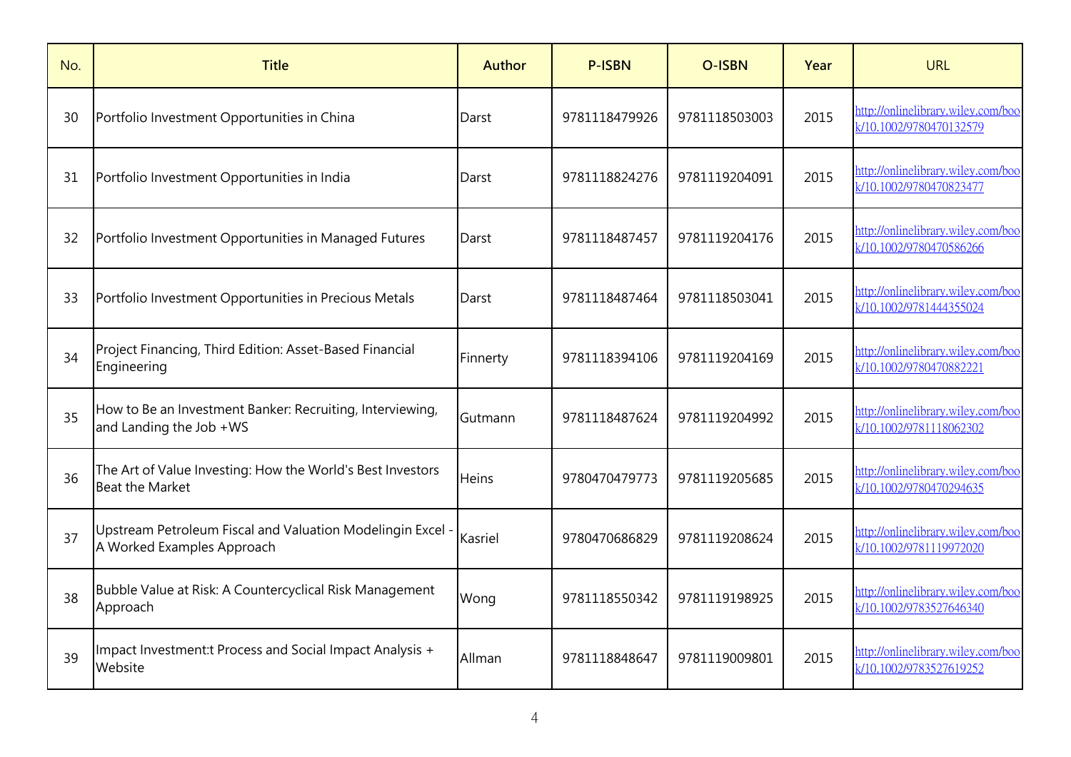| No. | <b>Title</b>                                                                             | <b>Author</b> | <b>P-ISBN</b> | <b>O-ISBN</b> | Year | <b>URL</b>                                                    |
|-----|------------------------------------------------------------------------------------------|---------------|---------------|---------------|------|---------------------------------------------------------------|
| 30  | Portfolio Investment Opportunities in China                                              | Darst         | 9781118479926 | 9781118503003 | 2015 | http://onlinelibrary.wiley.com/boo<br>k/10.1002/9780470132579 |
| 31  | Portfolio Investment Opportunities in India                                              | Darst         | 9781118824276 | 9781119204091 | 2015 | http://onlinelibrary.wiley.com/boo<br>k/10.1002/9780470823477 |
| 32  | Portfolio Investment Opportunities in Managed Futures                                    | Darst         | 9781118487457 | 9781119204176 | 2015 | http://onlinelibrary.wiley.com/boo<br>k/10.1002/9780470586266 |
| 33  | Portfolio Investment Opportunities in Precious Metals                                    | Darst         | 9781118487464 | 9781118503041 | 2015 | http://onlinelibrary.wiley.com/boo<br>k/10.1002/9781444355024 |
| 34  | Project Financing, Third Edition: Asset-Based Financial<br>Engineering                   | Finnerty      | 9781118394106 | 9781119204169 | 2015 | http://onlinelibrary.wiley.com/boo<br>k/10.1002/9780470882221 |
| 35  | How to Be an Investment Banker: Recruiting, Interviewing,<br>and Landing the Job +WS     | Gutmann       | 9781118487624 | 9781119204992 | 2015 | http://onlinelibrary.wiley.com/boo<br>k/10.1002/9781118062302 |
| 36  | The Art of Value Investing: How the World's Best Investors<br><b>Beat the Market</b>     | Heins         | 9780470479773 | 9781119205685 | 2015 | http://onlinelibrary.wiley.com/boo<br>k/10.1002/9780470294635 |
| 37  | Upstream Petroleum Fiscal and Valuation Modelingin Excel -<br>A Worked Examples Approach | Kasriel       | 9780470686829 | 9781119208624 | 2015 | http://onlinelibrary.wiley.com/boo<br>k/10.1002/9781119972020 |
| 38  | Bubble Value at Risk: A Countercyclical Risk Management<br>Approach                      | Wong          | 9781118550342 | 9781119198925 | 2015 | http://onlinelibrary.wiley.com/boo<br>k/10.1002/9783527646340 |
| 39  | Impact Investment: Process and Social Impact Analysis +<br>Website                       | Allman        | 9781118848647 | 9781119009801 | 2015 | http://onlinelibrary.wiley.com/boo<br>k/10.1002/9783527619252 |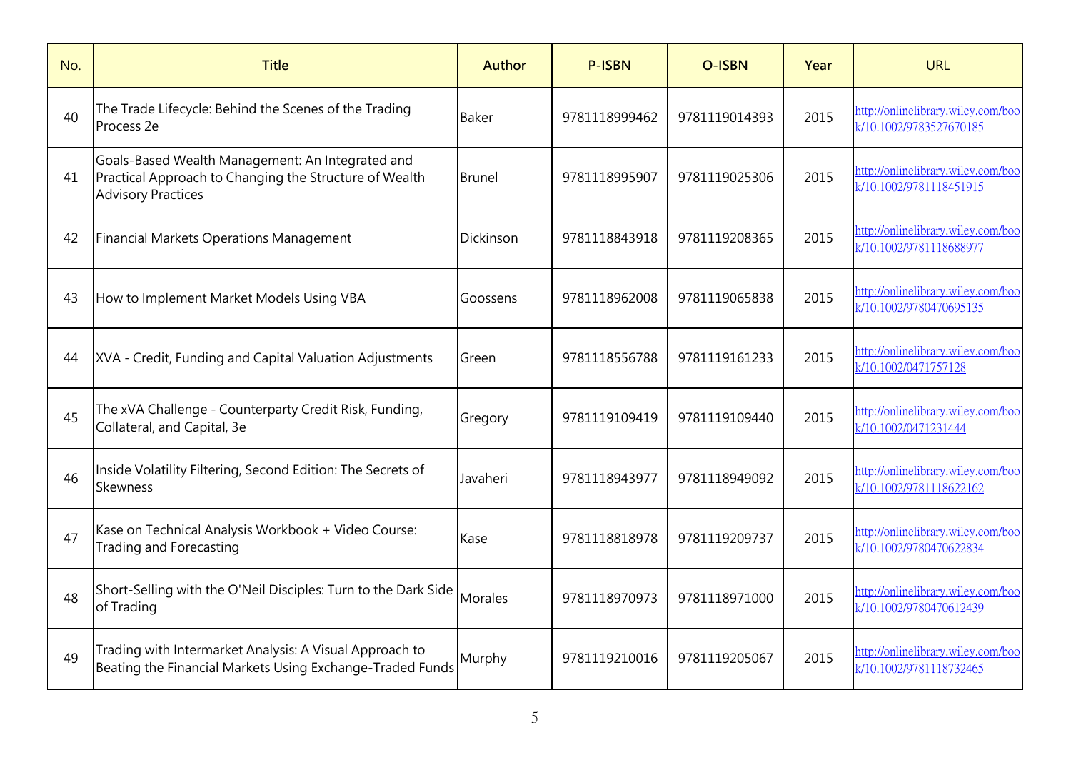| No. | <b>Title</b>                                                                                                                            | Author        | <b>P-ISBN</b> | <b>O-ISBN</b> | Year | <b>URL</b>                                                    |
|-----|-----------------------------------------------------------------------------------------------------------------------------------------|---------------|---------------|---------------|------|---------------------------------------------------------------|
| 40  | The Trade Lifecycle: Behind the Scenes of the Trading<br>Process <sub>2e</sub>                                                          | <b>Baker</b>  | 9781118999462 | 9781119014393 | 2015 | http://onlinelibrary.wiley.com/boo<br>k/10.1002/9783527670185 |
| 41  | Goals-Based Wealth Management: An Integrated and<br>Practical Approach to Changing the Structure of Wealth<br><b>Advisory Practices</b> | <b>Brunel</b> | 9781118995907 | 9781119025306 | 2015 | http://onlinelibrary.wiley.com/boo<br>k/10.1002/9781118451915 |
| 42  | <b>Financial Markets Operations Management</b>                                                                                          | Dickinson     | 9781118843918 | 9781119208365 | 2015 | http://onlinelibrary.wiley.com/boo<br>k/10.1002/9781118688977 |
| 43  | How to Implement Market Models Using VBA                                                                                                | Goossens      | 9781118962008 | 9781119065838 | 2015 | http://onlinelibrary.wiley.com/boo<br>k/10.1002/9780470695135 |
| 44  | XVA - Credit, Funding and Capital Valuation Adjustments                                                                                 | Green         | 9781118556788 | 9781119161233 | 2015 | http://onlinelibrary.wiley.com/boo<br>k/10.1002/0471757128    |
| 45  | The xVA Challenge - Counterparty Credit Risk, Funding,<br>Collateral, and Capital, 3e                                                   | Gregory       | 9781119109419 | 9781119109440 | 2015 | http://onlinelibrary.wiley.com/boo<br>k/10.1002/0471231444    |
| 46  | Inside Volatility Filtering, Second Edition: The Secrets of<br>Skewness                                                                 | Javaheri      | 9781118943977 | 9781118949092 | 2015 | http://onlinelibrary.wiley.com/boo<br>k/10.1002/9781118622162 |
| 47  | Kase on Technical Analysis Workbook + Video Course:<br>Trading and Forecasting                                                          | Kase          | 9781118818978 | 9781119209737 | 2015 | http://onlinelibrary.wiley.com/boo<br>k/10.1002/9780470622834 |
| 48  | Short-Selling with the O'Neil Disciples: Turn to the Dark Side<br>of Trading                                                            | Morales       | 9781118970973 | 9781118971000 | 2015 | http://onlinelibrary.wiley.com/boo<br>k/10.1002/9780470612439 |
| 49  | Trading with Intermarket Analysis: A Visual Approach to<br>Beating the Financial Markets Using Exchange-Traded Funds                    | Murphy        | 9781119210016 | 9781119205067 | 2015 | http://onlinelibrary.wiley.com/boo<br>k/10.1002/9781118732465 |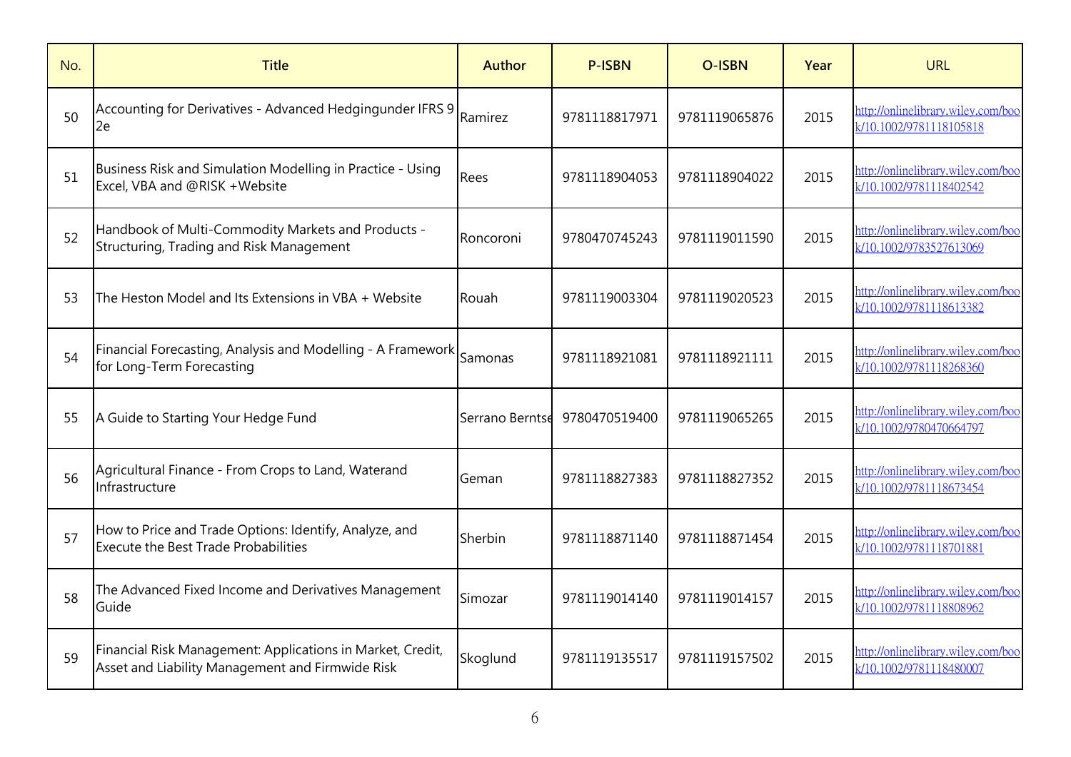| No. | <b>Title</b>                                                                                                   | Author          | <b>P-ISBN</b> | <b>O-ISBN</b> | Year | <b>URL</b>                                                    |
|-----|----------------------------------------------------------------------------------------------------------------|-----------------|---------------|---------------|------|---------------------------------------------------------------|
| 50  | Accounting for Derivatives - Advanced Hedgingunder IFRS 9<br>2e                                                | Ramirez         | 9781118817971 | 9781119065876 | 2015 | http://onlinelibrary.wiley.com/boo<br>k/10.1002/9781118105818 |
| 51  | Business Risk and Simulation Modelling in Practice - Using<br>Excel, VBA and @RISK + Website                   | Rees            | 9781118904053 | 9781118904022 | 2015 | http://onlinelibrary.wiley.com/boo<br>k/10.1002/9781118402542 |
| 52  | Handbook of Multi-Commodity Markets and Products -<br>Structuring, Trading and Risk Management                 | Roncoroni       | 9780470745243 | 9781119011590 | 2015 | http://onlinelibrary.wiley.com/boo<br>k/10.1002/9783527613069 |
| 53  | The Heston Model and Its Extensions in VBA + Website                                                           | Rouah           | 9781119003304 | 9781119020523 | 2015 | http://onlinelibrary.wiley.com/boo<br>k/10.1002/9781118613382 |
| 54  | Financial Forecasting, Analysis and Modelling - A Framework<br>for Long-Term Forecasting                       | Samonas         | 9781118921081 | 9781118921111 | 2015 | http://onlinelibrary.wiley.com/boo<br>k/10.1002/9781118268360 |
| 55  | A Guide to Starting Your Hedge Fund                                                                            | Serrano Berntse | 9780470519400 | 9781119065265 | 2015 | http://onlinelibrary.wiley.com/boo<br>k/10.1002/9780470664797 |
| 56  | Agricultural Finance - From Crops to Land, Waterand<br>Infrastructure                                          | Geman           | 9781118827383 | 9781118827352 | 2015 | http://onlinelibrary.wiley.com/boo<br>k/10.1002/9781118673454 |
| 57  | How to Price and Trade Options: Identify, Analyze, and<br><b>Execute the Best Trade Probabilities</b>          | Sherbin         | 9781118871140 | 9781118871454 | 2015 | http://onlinelibrary.wiley.com/boo<br>k/10.1002/9781118701881 |
| 58  | The Advanced Fixed Income and Derivatives Management<br>Guide                                                  | Simozar         | 9781119014140 | 9781119014157 | 2015 | http://onlinelibrary.wiley.com/boo<br>k/10.1002/9781118808962 |
| 59  | Financial Risk Management: Applications in Market, Credit,<br>Asset and Liability Management and Firmwide Risk | Skoglund        | 9781119135517 | 9781119157502 | 2015 | http://onlinelibrary.wiley.com/boo<br>k/10.1002/9781118480007 |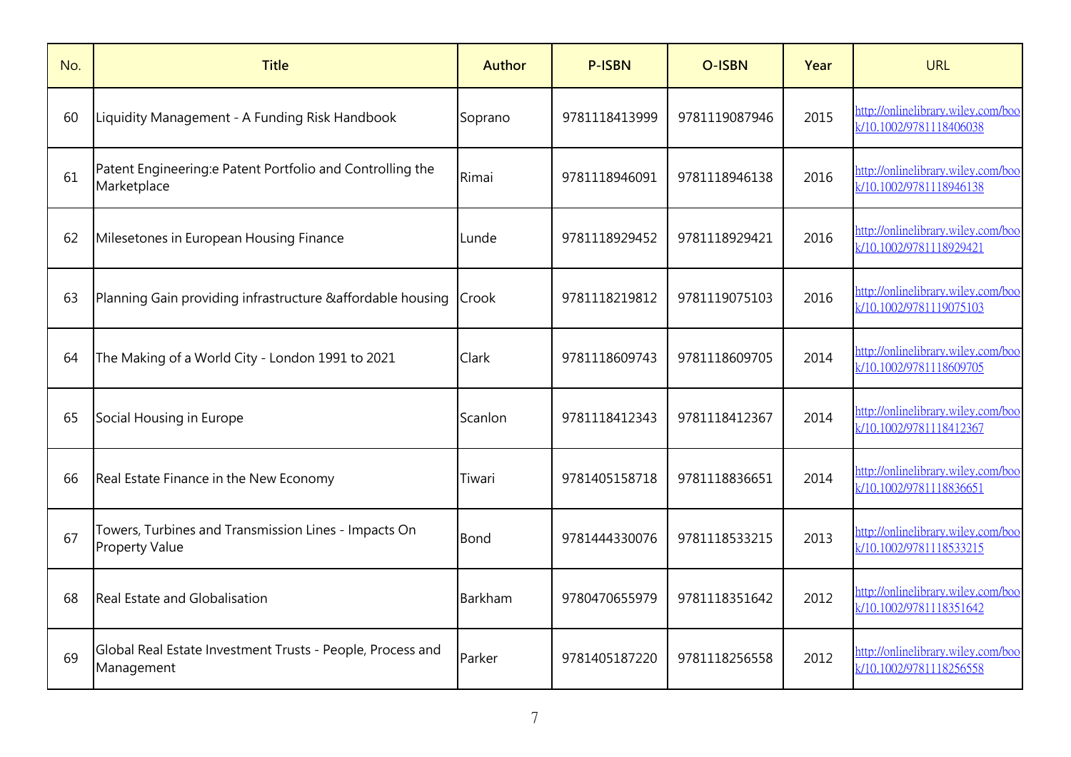| No. | <b>Title</b>                                                                  | Author  | <b>P-ISBN</b> | <b>O-ISBN</b> | Year | <b>URL</b>                                                    |
|-----|-------------------------------------------------------------------------------|---------|---------------|---------------|------|---------------------------------------------------------------|
| 60  | Liquidity Management - A Funding Risk Handbook                                | Soprano | 9781118413999 | 9781119087946 | 2015 | http://onlinelibrary.wiley.com/boo<br>k/10.1002/9781118406038 |
| 61  | Patent Engineering: ePatent Portfolio and Controlling the<br>Marketplace      | Rimai   | 9781118946091 | 9781118946138 | 2016 | http://onlinelibrary.wiley.com/boo<br>k/10.1002/9781118946138 |
| 62  | Milesetones in European Housing Finance                                       | Lunde   | 9781118929452 | 9781118929421 | 2016 | http://onlinelibrary.wiley.com/boo<br>k/10.1002/9781118929421 |
| 63  | Planning Gain providing infrastructure & affordable housing                   | Crook   | 9781118219812 | 9781119075103 | 2016 | http://onlinelibrary.wiley.com/boo<br>k/10.1002/9781119075103 |
| 64  | The Making of a World City - London 1991 to 2021                              | Clark   | 9781118609743 | 9781118609705 | 2014 | http://onlinelibrary.wiley.com/boo<br>k/10.1002/9781118609705 |
| 65  | Social Housing in Europe                                                      | Scanlon | 9781118412343 | 9781118412367 | 2014 | http://onlinelibrary.wiley.com/boo<br>k/10.1002/9781118412367 |
| 66  | Real Estate Finance in the New Economy                                        | Tiwari  | 9781405158718 | 9781118836651 | 2014 | http://onlinelibrary.wiley.com/boo<br>k/10.1002/9781118836651 |
| 67  | Towers, Turbines and Transmission Lines - Impacts On<br><b>Property Value</b> | Bond    | 9781444330076 | 9781118533215 | 2013 | http://onlinelibrary.wiley.com/boo<br>k/10.1002/9781118533215 |
| 68  | <b>Real Estate and Globalisation</b>                                          | Barkham | 9780470655979 | 9781118351642 | 2012 | http://onlinelibrary.wiley.com/boo<br>k/10.1002/9781118351642 |
| 69  | Global Real Estate Investment Trusts - People, Process and<br>Management      | Parker  | 9781405187220 | 9781118256558 | 2012 | http://onlinelibrary.wiley.com/boo<br>k/10.1002/9781118256558 |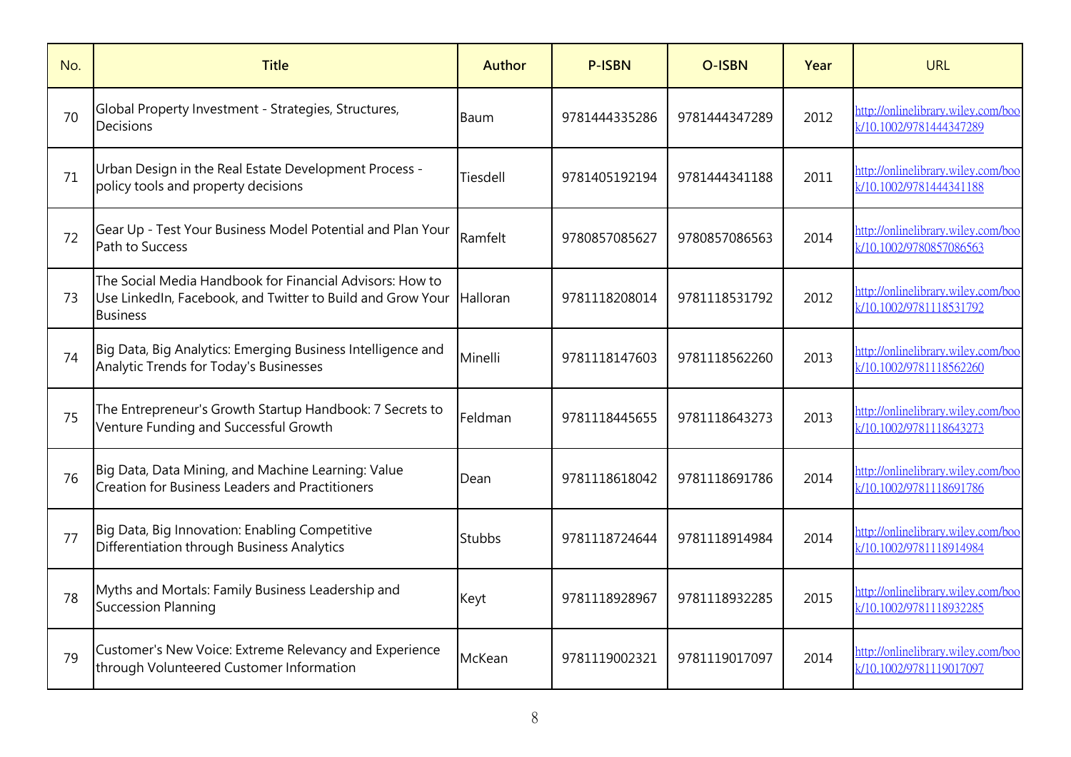| No. | <b>Title</b>                                                                                                                              | <b>Author</b> | <b>P-ISBN</b> | <b>O-ISBN</b> | Year | <b>URL</b>                                                    |
|-----|-------------------------------------------------------------------------------------------------------------------------------------------|---------------|---------------|---------------|------|---------------------------------------------------------------|
| 70  | Global Property Investment - Strategies, Structures,<br>Decisions                                                                         | Baum          | 9781444335286 | 9781444347289 | 2012 | http://onlinelibrary.wiley.com/boo<br>k/10.1002/9781444347289 |
| 71  | Urban Design in the Real Estate Development Process -<br>policy tools and property decisions                                              | Tiesdell      | 9781405192194 | 9781444341188 | 2011 | http://onlinelibrary.wiley.com/boo<br>k/10.1002/9781444341188 |
| 72  | Gear Up - Test Your Business Model Potential and Plan Your<br>Path to Success                                                             | Ramfelt       | 9780857085627 | 9780857086563 | 2014 | http://onlinelibrary.wiley.com/boo<br>k/10.1002/9780857086563 |
| 73  | The Social Media Handbook for Financial Advisors: How to<br>Use LinkedIn, Facebook, and Twitter to Build and Grow Your<br><b>Business</b> | Halloran      | 9781118208014 | 9781118531792 | 2012 | http://onlinelibrary.wiley.com/boo<br>k/10.1002/9781118531792 |
| 74  | Big Data, Big Analytics: Emerging Business Intelligence and<br>Analytic Trends for Today's Businesses                                     | Minelli       | 9781118147603 | 9781118562260 | 2013 | http://onlinelibrary.wiley.com/boo<br>k/10.1002/9781118562260 |
| 75  | The Entrepreneur's Growth Startup Handbook: 7 Secrets to<br>Venture Funding and Successful Growth                                         | Feldman       | 9781118445655 | 9781118643273 | 2013 | http://onlinelibrary.wiley.com/boo<br>k/10.1002/9781118643273 |
| 76  | Big Data, Data Mining, and Machine Learning: Value<br><b>Creation for Business Leaders and Practitioners</b>                              | Dean          | 9781118618042 | 9781118691786 | 2014 | http://onlinelibrary.wiley.com/boo<br>k/10.1002/9781118691786 |
| 77  | Big Data, Big Innovation: Enabling Competitive<br>Differentiation through Business Analytics                                              | <b>Stubbs</b> | 9781118724644 | 9781118914984 | 2014 | http://onlinelibrary.wiley.com/boo<br>k/10.1002/9781118914984 |
| 78  | Myths and Mortals: Family Business Leadership and<br><b>Succession Planning</b>                                                           | Keyt          | 9781118928967 | 9781118932285 | 2015 | http://onlinelibrary.wiley.com/boo<br>k/10.1002/9781118932285 |
| 79  | Customer's New Voice: Extreme Relevancy and Experience<br>through Volunteered Customer Information                                        | McKean        | 9781119002321 | 9781119017097 | 2014 | http://onlinelibrary.wiley.com/boo<br>k/10.1002/9781119017097 |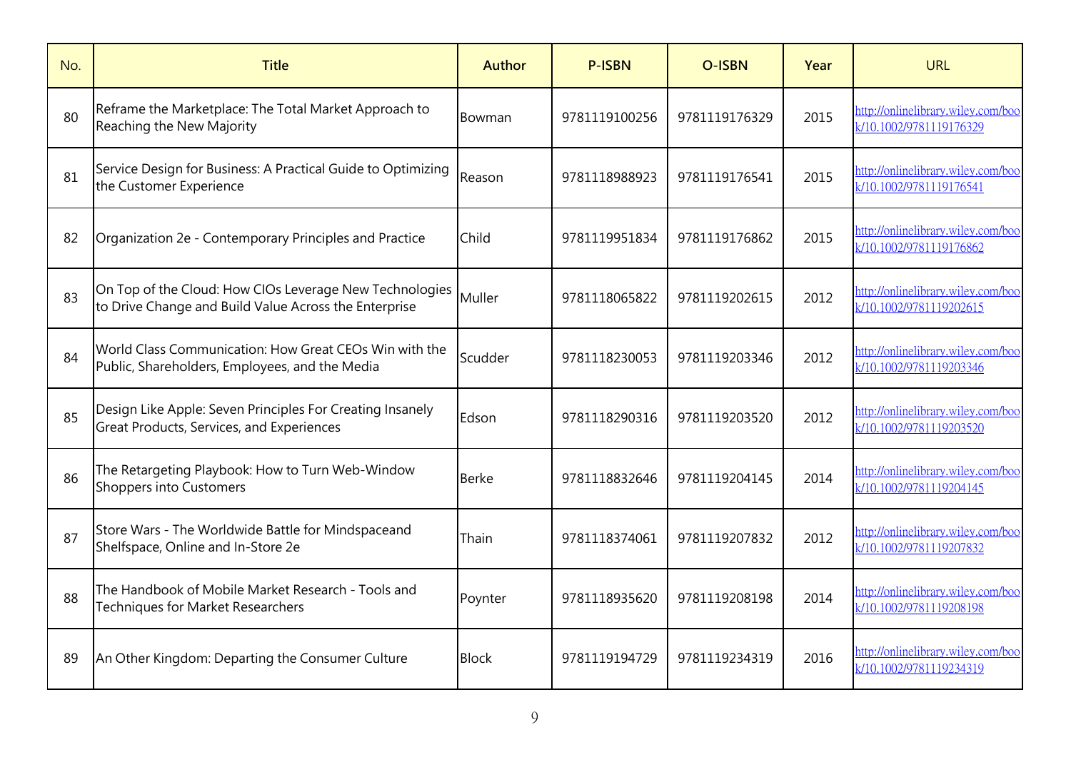| No. | <b>Title</b>                                                                                                     | <b>Author</b> | <b>P-ISBN</b> | <b>O-ISBN</b> | Year | <b>URL</b>                                                    |
|-----|------------------------------------------------------------------------------------------------------------------|---------------|---------------|---------------|------|---------------------------------------------------------------|
| 80  | Reframe the Marketplace: The Total Market Approach to<br>Reaching the New Majority                               | Bowman        | 9781119100256 | 9781119176329 | 2015 | http://onlinelibrary.wiley.com/boo<br>k/10.1002/9781119176329 |
| 81  | Service Design for Business: A Practical Guide to Optimizing<br>the Customer Experience                          | Reason        | 9781118988923 | 9781119176541 | 2015 | http://onlinelibrary.wiley.com/boo<br>k/10.1002/9781119176541 |
| 82  | Organization 2e - Contemporary Principles and Practice                                                           | Child         | 9781119951834 | 9781119176862 | 2015 | http://onlinelibrary.wiley.com/boo<br>k/10.1002/9781119176862 |
| 83  | On Top of the Cloud: How CIOs Leverage New Technologies<br>to Drive Change and Build Value Across the Enterprise | Muller        | 9781118065822 | 9781119202615 | 2012 | http://onlinelibrary.wiley.com/boo<br>k/10.1002/9781119202615 |
| 84  | World Class Communication: How Great CEOs Win with the<br>Public, Shareholders, Employees, and the Media         | Scudder       | 9781118230053 | 9781119203346 | 2012 | http://onlinelibrary.wiley.com/boo<br>k/10.1002/9781119203346 |
| 85  | Design Like Apple: Seven Principles For Creating Insanely<br><b>Great Products, Services, and Experiences</b>    | Edson         | 9781118290316 | 9781119203520 | 2012 | http://onlinelibrary.wiley.com/boo<br>k/10.1002/9781119203520 |
| 86  | The Retargeting Playbook: How to Turn Web-Window<br>Shoppers into Customers                                      | <b>Berke</b>  | 9781118832646 | 9781119204145 | 2014 | http://onlinelibrary.wiley.com/boo<br>k/10.1002/9781119204145 |
| 87  | Store Wars - The Worldwide Battle for Mindspaceand<br>Shelfspace, Online and In-Store 2e                         | Thain         | 9781118374061 | 9781119207832 | 2012 | http://onlinelibrary.wiley.com/boo<br>k/10.1002/9781119207832 |
| 88  | The Handbook of Mobile Market Research - Tools and<br><b>Techniques for Market Researchers</b>                   | Poynter       | 9781118935620 | 9781119208198 | 2014 | http://onlinelibrary.wiley.com/boo<br>k/10.1002/9781119208198 |
| 89  | An Other Kingdom: Departing the Consumer Culture                                                                 | <b>Block</b>  | 9781119194729 | 9781119234319 | 2016 | http://onlinelibrary.wiley.com/boo<br>k/10.1002/9781119234319 |